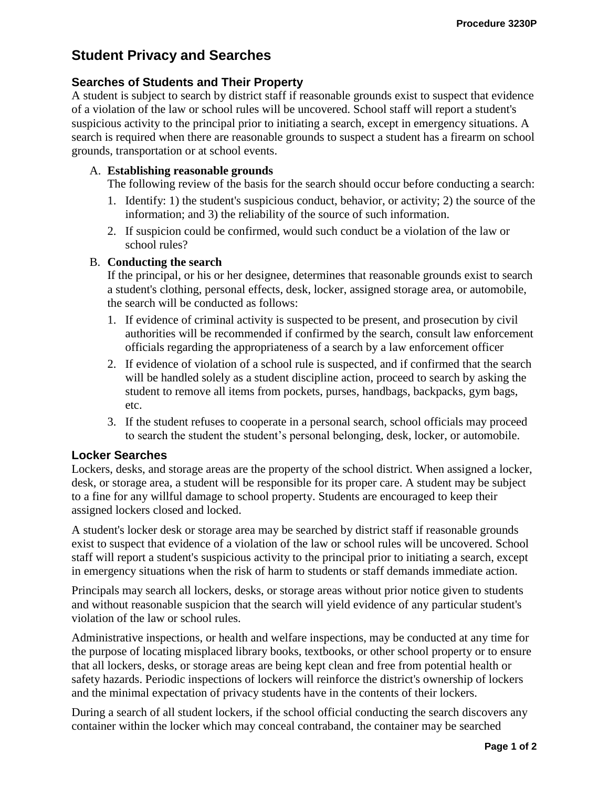# **Student Privacy and Searches**

## **Searches of Students and Their Property**

A student is subject to search by district staff if reasonable grounds exist to suspect that evidence of a violation of the law or school rules will be uncovered. School staff will report a student's suspicious activity to the principal prior to initiating a search, except in emergency situations. A search is required when there are reasonable grounds to suspect a student has a firearm on school grounds, transportation or at school events.

### A. **Establishing reasonable grounds**

The following review of the basis for the search should occur before conducting a search:

- 1. Identify: 1) the student's suspicious conduct, behavior, or activity; 2) the source of the information; and 3) the reliability of the source of such information.
- 2. If suspicion could be confirmed, would such conduct be a violation of the law or school rules?

#### B. **Conducting the search**

If the principal, or his or her designee, determines that reasonable grounds exist to search a student's clothing, personal effects, desk, locker, assigned storage area, or automobile, the search will be conducted as follows:

- 1. If evidence of criminal activity is suspected to be present, and prosecution by civil authorities will be recommended if confirmed by the search, consult law enforcement officials regarding the appropriateness of a search by a law enforcement officer
- 2. If evidence of violation of a school rule is suspected, and if confirmed that the search will be handled solely as a student discipline action, proceed to search by asking the student to remove all items from pockets, purses, handbags, backpacks, gym bags, etc.
- 3. If the student refuses to cooperate in a personal search, school officials may proceed to search the student the student's personal belonging, desk, locker, or automobile.

### **Locker Searches**

Lockers, desks, and storage areas are the property of the school district. When assigned a locker, desk, or storage area, a student will be responsible for its proper care. A student may be subject to a fine for any willful damage to school property. Students are encouraged to keep their assigned lockers closed and locked.

A student's locker desk or storage area may be searched by district staff if reasonable grounds exist to suspect that evidence of a violation of the law or school rules will be uncovered. School staff will report a student's suspicious activity to the principal prior to initiating a search, except in emergency situations when the risk of harm to students or staff demands immediate action.

Principals may search all lockers, desks, or storage areas without prior notice given to students and without reasonable suspicion that the search will yield evidence of any particular student's violation of the law or school rules.

Administrative inspections, or health and welfare inspections, may be conducted at any time for the purpose of locating misplaced library books, textbooks, or other school property or to ensure that all lockers, desks, or storage areas are being kept clean and free from potential health or safety hazards. Periodic inspections of lockers will reinforce the district's ownership of lockers and the minimal expectation of privacy students have in the contents of their lockers.

During a search of all student lockers, if the school official conducting the search discovers any container within the locker which may conceal contraband, the container may be searched